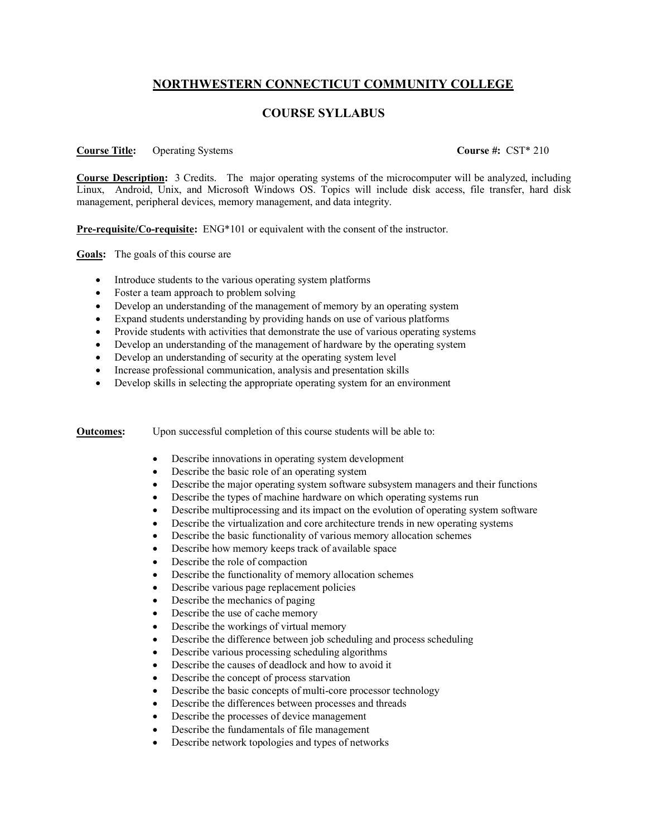## **NORTHWESTERN CONNECTICUT COMMUNITY COLLEGE**

## **COURSE SYLLABUS**

## **Course Title:** Operating Systems **Course #:** CST\* 210

**Course Description:** 3 Credits. The major operating systems of the microcomputer will be analyzed, including Linux, Android, Unix, and Microsoft Windows OS. Topics will include disk access, file transfer, hard disk management, peripheral devices, memory management, and data integrity.

**Pre-requisite/Co-requisite:** ENG<sup>\*</sup>101 or equivalent with the consent of the instructor.

**Goals:** The goals of this course are

- Introduce students to the various operating system platforms
- Foster a team approach to problem solving
- Develop an understanding of the management of memory by an operating system
- Expand students understanding by providing hands on use of various platforms
- Provide students with activities that demonstrate the use of various operating systems
- Develop an understanding of the management of hardware by the operating system
- Develop an understanding of security at the operating system level
- Increase professional communication, analysis and presentation skills
- Develop skills in selecting the appropriate operating system for an environment

## **Outcomes:** Upon successful completion of this course students will be able to:

- Describe innovations in operating system development
- Describe the basic role of an operating system
- Describe the major operating system software subsystem managers and their functions
- Describe the types of machine hardware on which operating systems run
- Describe multiprocessing and its impact on the evolution of operating system software
- Describe the virtualization and core architecture trends in new operating systems
- Describe the basic functionality of various memory allocation schemes
- Describe how memory keeps track of available space
- Describe the role of compaction
- Describe the functionality of memory allocation schemes
- Describe various page replacement policies
- Describe the mechanics of paging
- Describe the use of cache memory
- Describe the workings of virtual memory
- Describe the difference between job scheduling and process scheduling
- Describe various processing scheduling algorithms
- Describe the causes of deadlock and how to avoid it
- Describe the concept of process starvation
- Describe the basic concepts of multi-core processor technology
- Describe the differences between processes and threads
- Describe the processes of device management
- Describe the fundamentals of file management
- Describe network topologies and types of networks